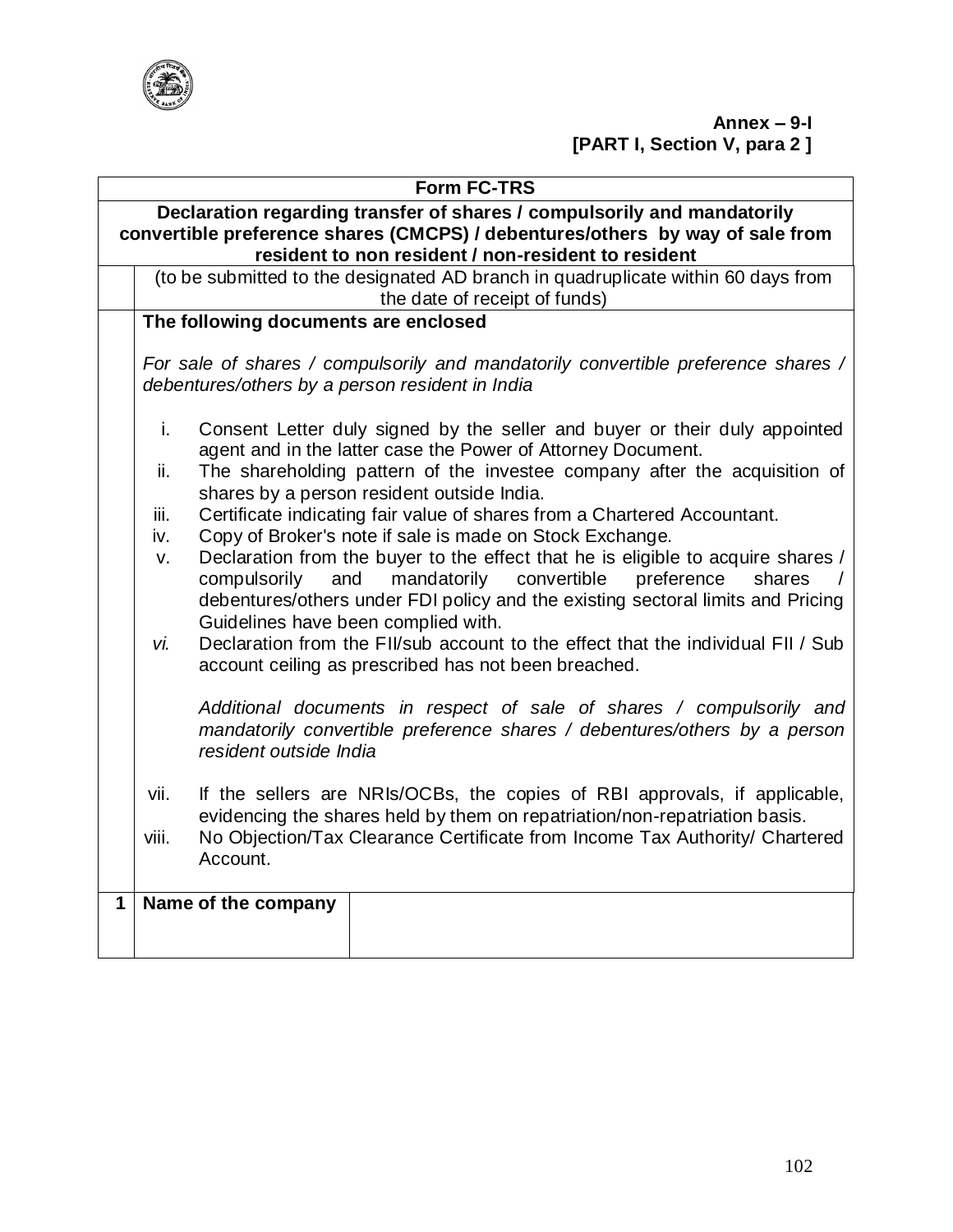

|              | <b>Form FC-TRS</b>                                                                                                                                                                                              |                                                                                                                                                                                                                                                                                         |  |  |  |  |
|--------------|-----------------------------------------------------------------------------------------------------------------------------------------------------------------------------------------------------------------|-----------------------------------------------------------------------------------------------------------------------------------------------------------------------------------------------------------------------------------------------------------------------------------------|--|--|--|--|
|              | Declaration regarding transfer of shares / compulsorily and mandatorily<br>convertible preference shares (CMCPS) / debentures/others by way of sale from<br>resident to non resident / non-resident to resident |                                                                                                                                                                                                                                                                                         |  |  |  |  |
|              |                                                                                                                                                                                                                 | (to be submitted to the designated AD branch in quadruplicate within 60 days from<br>the date of receipt of funds)                                                                                                                                                                      |  |  |  |  |
|              |                                                                                                                                                                                                                 | The following documents are enclosed                                                                                                                                                                                                                                                    |  |  |  |  |
|              | For sale of shares / compulsorily and mandatorily convertible preference shares /<br>debentures/others by a person resident in India                                                                            |                                                                                                                                                                                                                                                                                         |  |  |  |  |
|              | i.<br>ii.                                                                                                                                                                                                       | Consent Letter duly signed by the seller and buyer or their duly appointed<br>agent and in the latter case the Power of Attorney Document.<br>The shareholding pattern of the investee company after the acquisition of                                                                 |  |  |  |  |
|              | iii.                                                                                                                                                                                                            | shares by a person resident outside India.<br>Certificate indicating fair value of shares from a Chartered Accountant.                                                                                                                                                                  |  |  |  |  |
|              | iv.                                                                                                                                                                                                             | Copy of Broker's note if sale is made on Stock Exchange.                                                                                                                                                                                                                                |  |  |  |  |
|              | v.                                                                                                                                                                                                              | Declaration from the buyer to the effect that he is eligible to acquire shares /<br>mandatorily<br>convertible<br>compulsorily<br>and<br>preference<br>shares<br>debentures/others under FDI policy and the existing sectoral limits and Pricing<br>Guidelines have been complied with. |  |  |  |  |
|              | vi.                                                                                                                                                                                                             | Declaration from the FII/sub account to the effect that the individual FII / Sub<br>account ceiling as prescribed has not been breached.                                                                                                                                                |  |  |  |  |
|              |                                                                                                                                                                                                                 | Additional documents in respect of sale of shares / compulsorily and<br>mandatorily convertible preference shares / debentures/others by a person<br>resident outside India                                                                                                             |  |  |  |  |
|              | vii.                                                                                                                                                                                                            | If the sellers are NRIs/OCBs, the copies of RBI approvals, if applicable,<br>evidencing the shares held by them on repatriation/non-repatriation basis.                                                                                                                                 |  |  |  |  |
|              | No Objection/Tax Clearance Certificate from Income Tax Authority/ Chartered<br>viii.<br>Account.                                                                                                                |                                                                                                                                                                                                                                                                                         |  |  |  |  |
| $\mathbf{1}$ |                                                                                                                                                                                                                 | Name of the company                                                                                                                                                                                                                                                                     |  |  |  |  |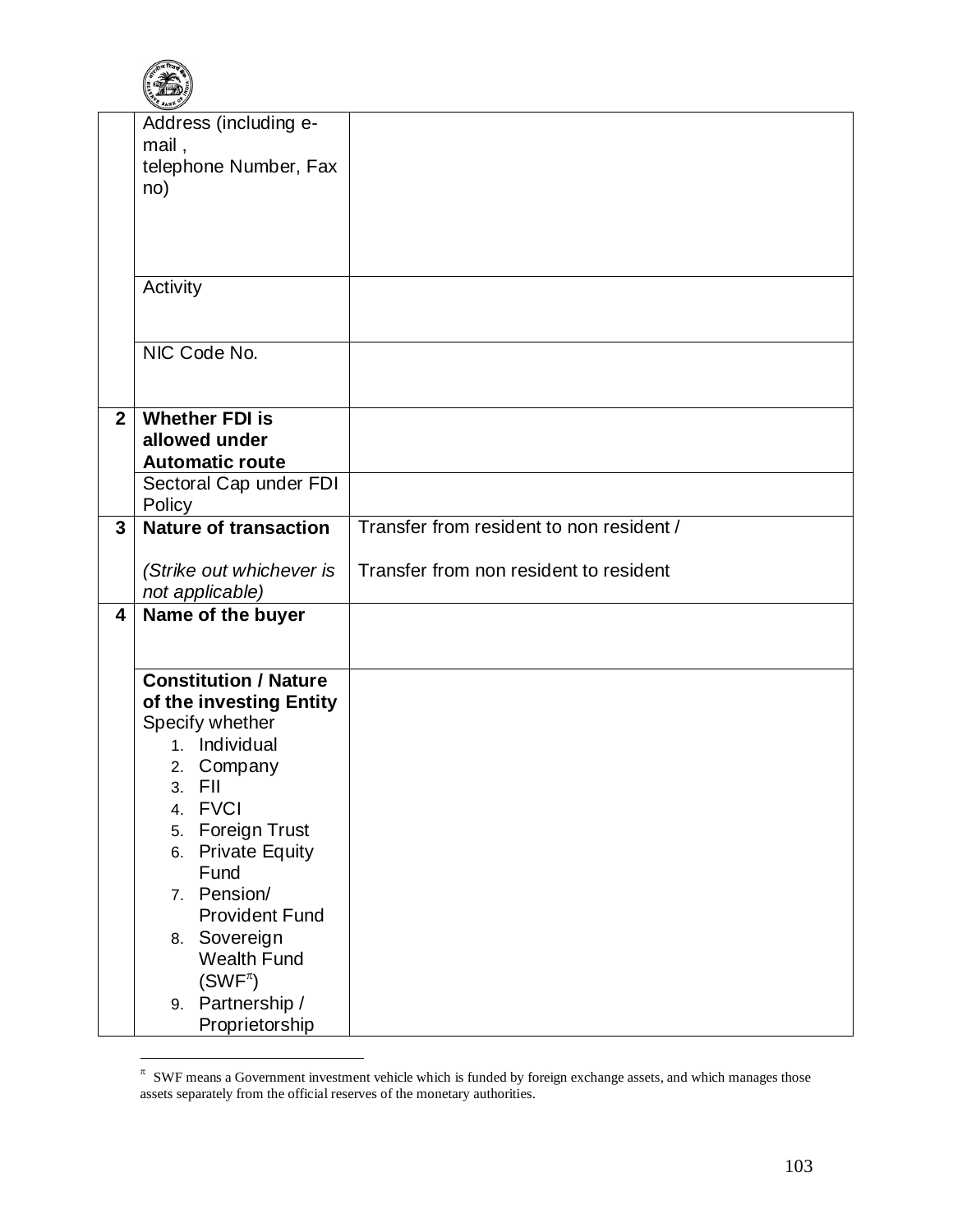

|                | Address (including e-<br>mail,<br>telephone Number, Fax<br>no)                                                                                                                                                                                                                                                                                     |                                          |
|----------------|----------------------------------------------------------------------------------------------------------------------------------------------------------------------------------------------------------------------------------------------------------------------------------------------------------------------------------------------------|------------------------------------------|
|                | Activity                                                                                                                                                                                                                                                                                                                                           |                                          |
|                | NIC Code No.                                                                                                                                                                                                                                                                                                                                       |                                          |
| 2 <sup>1</sup> | <b>Whether FDI is</b><br>allowed under<br><b>Automatic route</b>                                                                                                                                                                                                                                                                                   |                                          |
|                | Sectoral Cap under FDI<br>Policy                                                                                                                                                                                                                                                                                                                   |                                          |
| $\overline{3}$ | <b>Nature of transaction</b>                                                                                                                                                                                                                                                                                                                       | Transfer from resident to non resident / |
|                | (Strike out whichever is<br>not applicable)                                                                                                                                                                                                                                                                                                        | Transfer from non resident to resident   |
| 4              | Name of the buyer                                                                                                                                                                                                                                                                                                                                  |                                          |
|                | <b>Constitution / Nature</b><br>of the investing Entity<br>Specify whether<br>1. Individual<br>2. Company<br>3. FII<br><b>FVCI</b><br>4.<br><b>Foreign Trust</b><br>5.<br><b>Private Equity</b><br>6.<br>Fund<br>7. Pension/<br><b>Provident Fund</b><br>8. Sovereign<br><b>Wealth Fund</b><br>$(SWF^{\pi})$<br>9. Partnership /<br>Proprietorship |                                          |

 $\pi$  SWF means a Government investment vehicle which is funded by foreign exchange assets, and which manages those assets separately from the official reserves of the monetary authorities.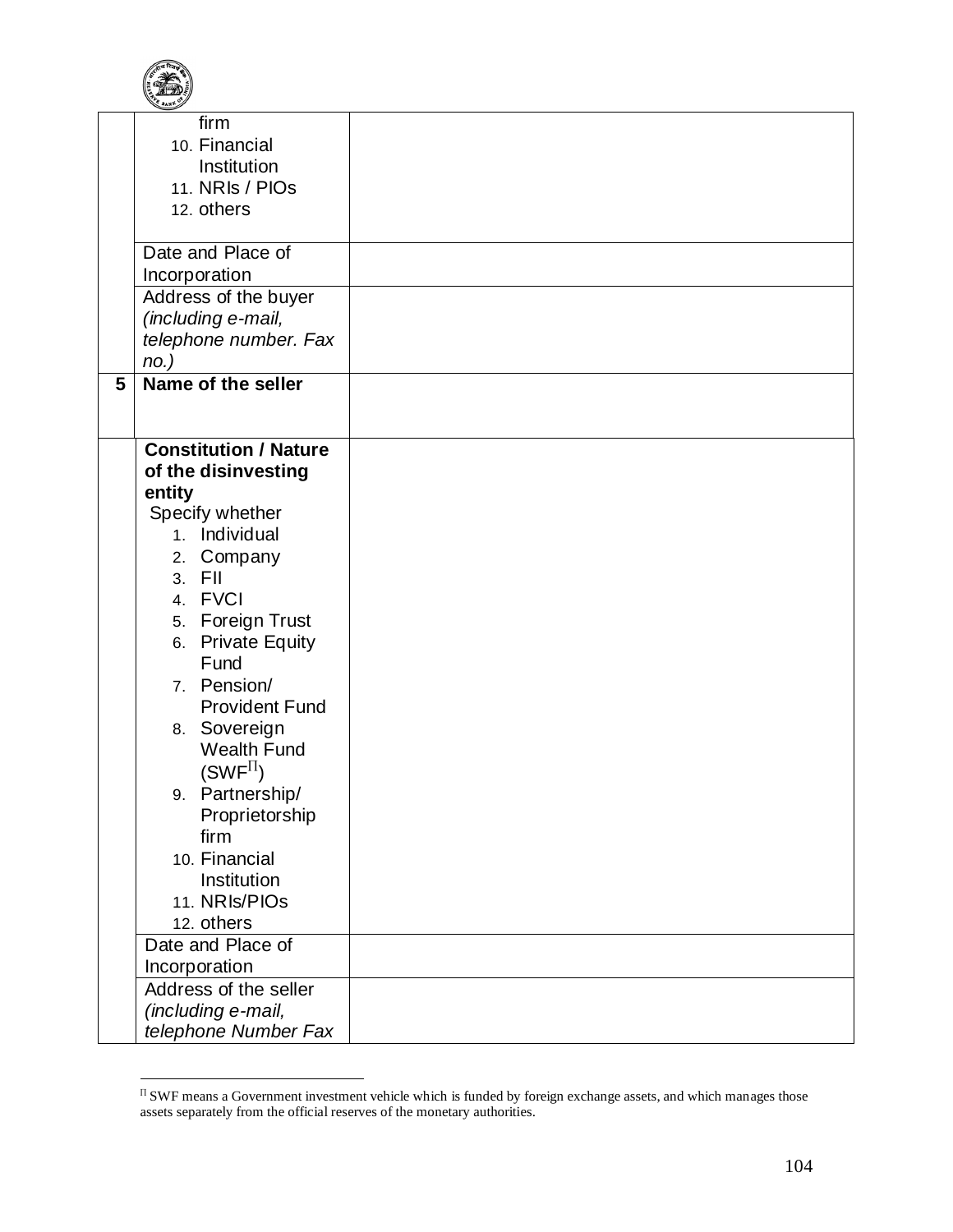

| firm<br>10. Financial<br>Institution<br>11. NRIs / PIOs<br>12. others |  |
|-----------------------------------------------------------------------|--|
| Date and Place of                                                     |  |
| Incorporation                                                         |  |
| Address of the buyer                                                  |  |
| (including e-mail,<br>telephone number. Fax                           |  |
| $no.$ )                                                               |  |
| Name of the seller<br>5                                               |  |
|                                                                       |  |
|                                                                       |  |
| <b>Constitution / Nature</b>                                          |  |
| of the disinvesting                                                   |  |
| entity<br>Specify whether                                             |  |
| 1. Individual                                                         |  |
| 2. Company                                                            |  |
| 3. FII                                                                |  |
| 4. FVCI                                                               |  |
| 5. Foreign Trust                                                      |  |
| 6. Private Equity                                                     |  |
| Fund                                                                  |  |
| 7. Pension/                                                           |  |
| <b>Provident Fund</b><br>8. Sovereign                                 |  |
| <b>Wealth Fund</b>                                                    |  |
| $(SWF^{\Pi})$                                                         |  |
| 9. Partnership/                                                       |  |
| Proprietorship                                                        |  |
| firm                                                                  |  |
| 10. Financial                                                         |  |
| Institution                                                           |  |
| 11. NRIs/PIOs                                                         |  |
| 12. others<br>Date and Place of                                       |  |
| Incorporation                                                         |  |
| Address of the seller                                                 |  |
| (including e-mail,                                                    |  |
| telephone Number Fax                                                  |  |

 $\Gamma$  SWF means a Government investment vehicle which is funded by foreign exchange assets, and which manages those assets separately from the official reserves of the monetary authorities.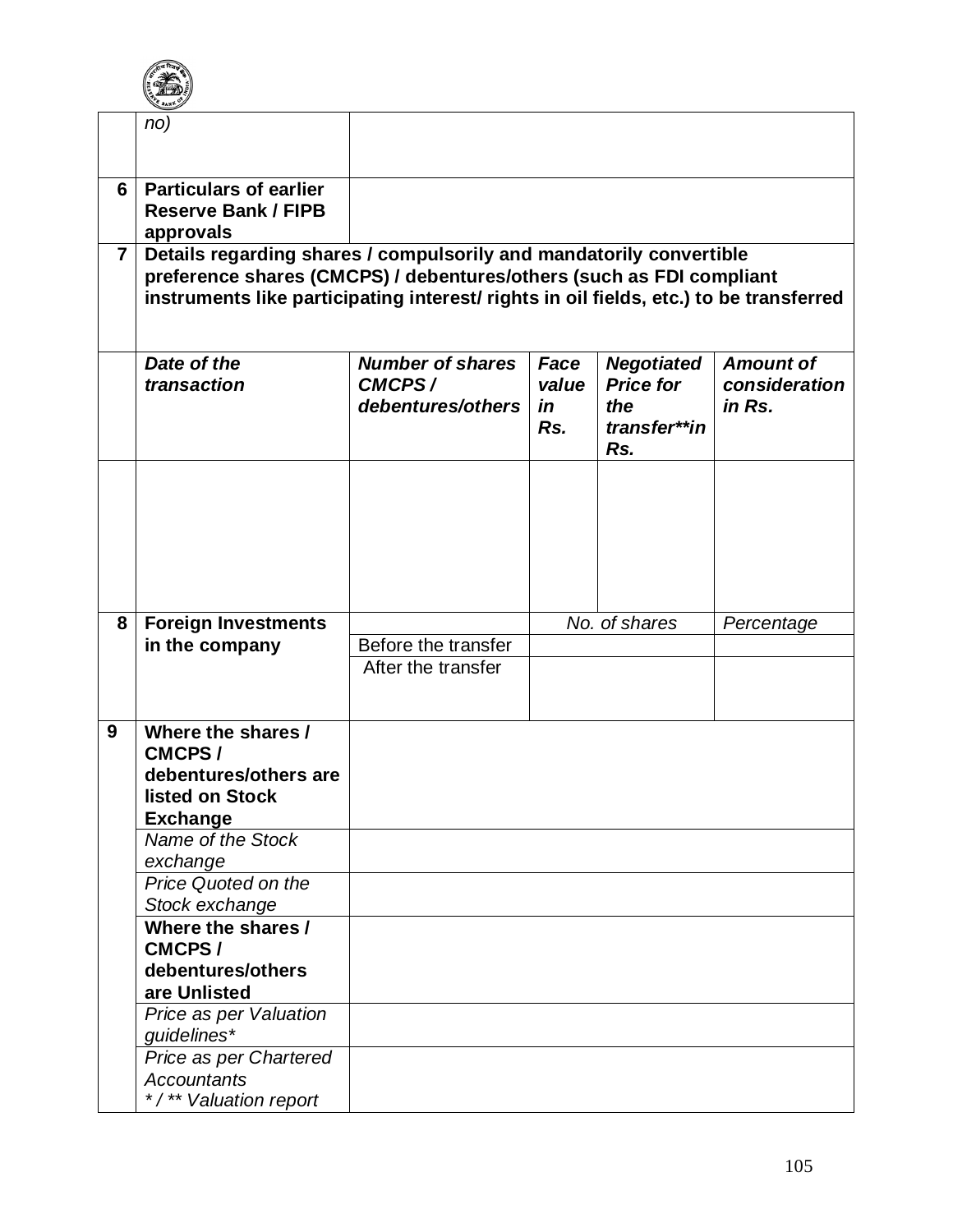

| instruments like participating interest/ rights in oil fields, etc.) to be transferred |
|----------------------------------------------------------------------------------------|
| <b>Amount of</b><br>consideration                                                      |
|                                                                                        |
| Percentage                                                                             |
|                                                                                        |
|                                                                                        |
|                                                                                        |
|                                                                                        |
|                                                                                        |
|                                                                                        |
|                                                                                        |
|                                                                                        |
|                                                                                        |
|                                                                                        |
|                                                                                        |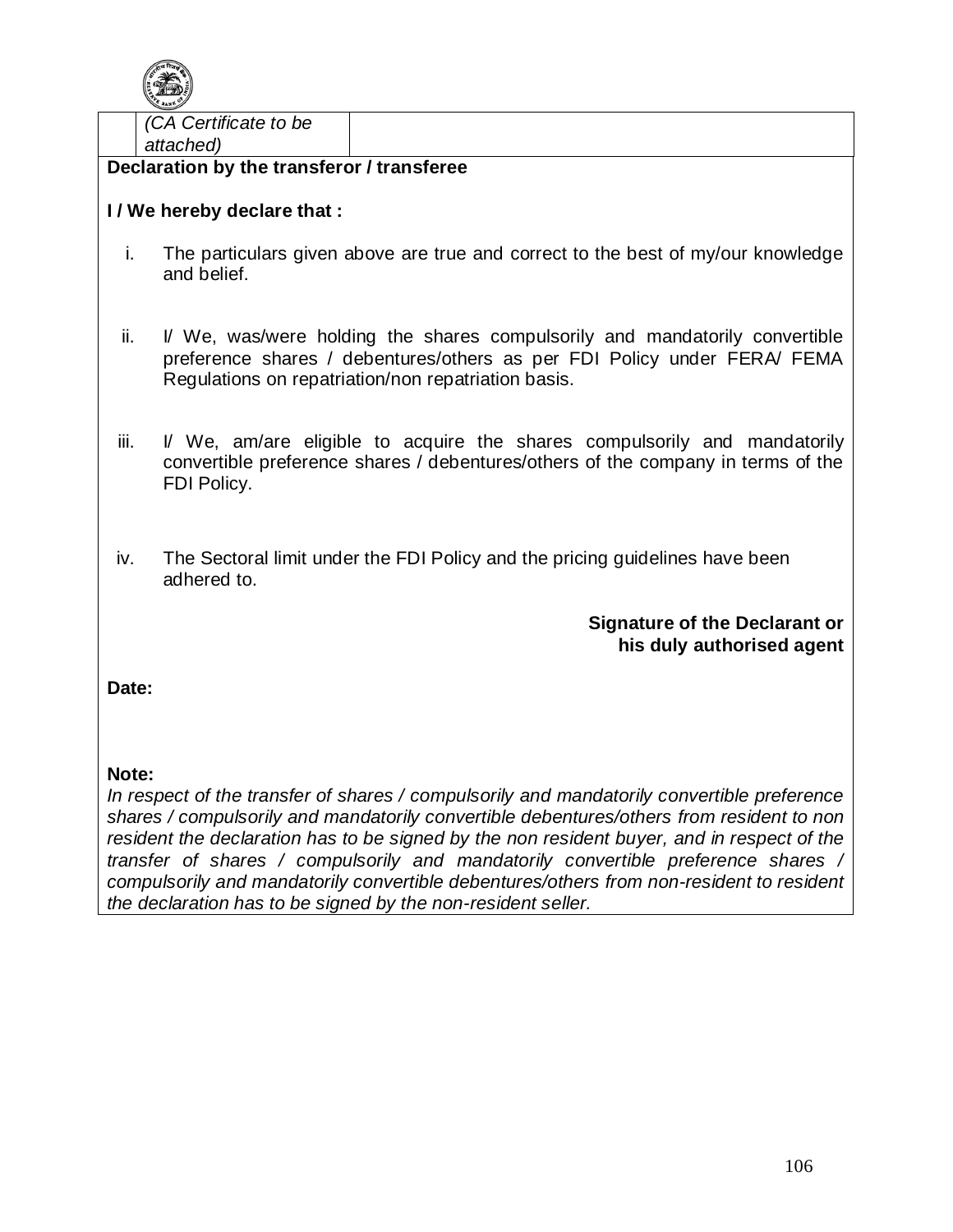

*(CA Certificate to be attached)*

**Declaration by the transferor / transferee**

## **I / We hereby declare that :**

- i. The particulars given above are true and correct to the best of my/our knowledge and belief.
- ii. I/ We, was/were holding the shares compulsorily and mandatorily convertible preference shares / debentures/others as per FDI Policy under FERA/ FEMA Regulations on repatriation/non repatriation basis.
- iii. I/ We, am/are eligible to acquire the shares compulsorily and mandatorily convertible preference shares / debentures/others of the company in terms of the FDI Policy.
- iv. The Sectoral limit under the FDI Policy and the pricing guidelines have been adhered to.

## **Signature of the Declarant or his duly authorised agent**

**Date:** 

## **Note:**

*In respect of the transfer of shares / compulsorily and mandatorily convertible preference shares / compulsorily and mandatorily convertible debentures/others from resident to non resident the declaration has to be signed by the non resident buyer, and in respect of the transfer of shares / compulsorily and mandatorily convertible preference shares / compulsorily and mandatorily convertible debentures/others from non-resident to resident the declaration has to be signed by the non-resident seller.*